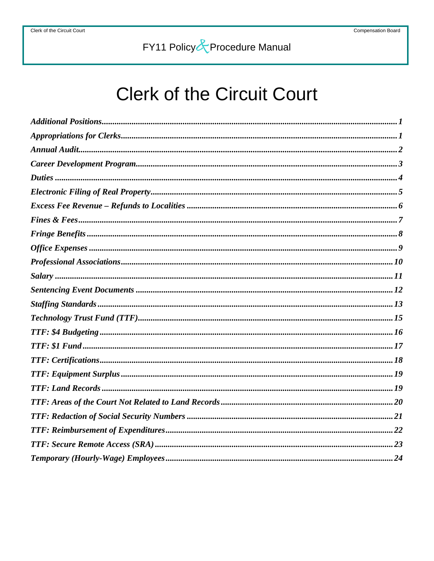# **Clerk of the Circuit Court**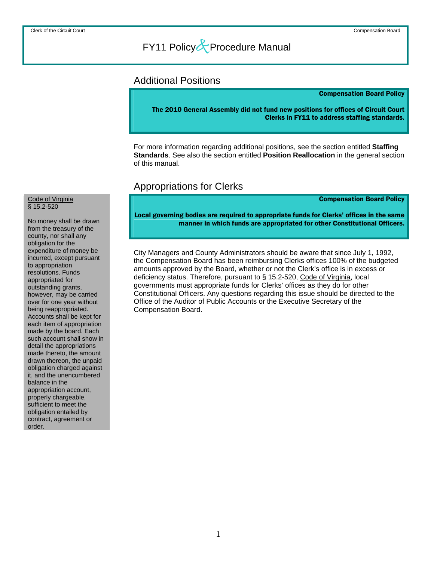## <span id="page-1-0"></span>Additional Positions

Compensation Board Policy

The 2010 General Assembly did not fund new positions for offices of Circuit Court Clerks in FY11 to address staffing standards.

For more information regarding additional positions, see the section entitled **Staffing Standards**. See also the section entitled **Position Reallocation** in the general section of this manual.

## Appropriations for Clerks

Compensation Board Policy

Local governing bodies are required to appropriate funds for Clerks' offices in the same manner in which funds are appropriated for other Constitutional Officers.

City Managers and County Administrators should be aware that since July 1, 1992, the Compensation Board has been reimbursing Clerks offices 100% of the budgeted amounts approved by the Board, whether or not the Clerk's office is in excess or deficiency status. Therefore, pursuant to § 15.2-520, Code of Virginia, local governments must appropriate funds for Clerks' offices as they do for other Constitutional Officers. Any questions regarding this issue should be directed to the Office of the Auditor of Public Accounts or the Executive Secretary of the Compensation Board.

### Code of Virginia  $§ 15.2 - 520$

No money shall be drawn from the treasury of the county, nor shall any obligation for the expenditure of money be incurred, except pursuant to appropriation resolutions. Funds appropriated for outstanding grants, however, may be carried over for one year without being reappropriated. Accounts shall be kept for each item of appropriation made by the board. Each such account shall show in detail the appropriations made thereto, the amount drawn thereon, the unpaid obligation charged against it, and the unencumbered balance in the appropriation account, properly chargeable, sufficient to meet the obligation entailed by contract, agreement or order.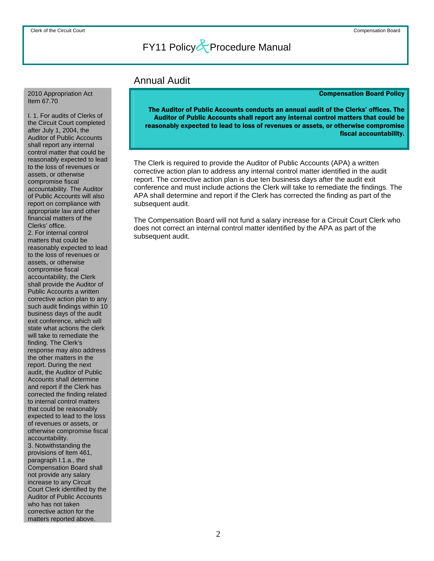### Annual Audit

### Compensation Board Policy

The Auditor of Public Accounts conducts an annual audit of the Clerks' offices. The Auditor of Public Accounts shall report any internal control matters that could be reasonably expected to lead to loss of revenues or assets, or otherwise compromise fiscal accountability.

The Clerk is required to provide the Auditor of Public Accounts (APA) a written corrective action plan to address any internal control matter identified in the audit report. The corrective action plan is due ten business days after the audit exit conference and must include actions the Clerk will take to remediate the findings. The APA shall determine and report if the Clerk has corrected the finding as part of the subsequent audit.

The Compensation Board will not fund a salary increase for a Circuit Court Clerk who does not correct an internal control matter identified by the APA as part of the subsequent audit.

### <span id="page-2-0"></span>2010 Appropriation Act Item 67.70

I. 1. For audits of Clerks of the Circuit Court completed after July 1, 2004, the Auditor of Public Accounts shall report any internal control matter that could be reasonably expected to lead to the loss of revenues or assets, or otherwise compromise fiscal accountability. The Auditor of Public Accounts will also report on compliance with appropriate law and other financial matters of the Clerks' office. 2. For internal control matters that could be reasonably expected to lead to the loss of revenues or assets, or otherwise compromise fiscal accountability, the Clerk shall provide the Auditor of Public Accounts a written corrective action plan to any such audit findings within 10 business days of the audit exit conference, which will state what actions the clerk will take to remediate the finding. The Clerk's response may also address the other matters in the report. During the next audit, the Auditor of Public Accounts shall determine and report if the Clerk has corrected the finding related to internal control matters that could be reasonably expected to lead to the loss of revenues or assets, or otherwise compromise fiscal accountability. 3. Notwithstanding the provisions of Item 461, paragraph I.1.a., the Compensation Board shall not provide any salary increase to any Circuit Court Clerk identified by the Auditor of Public Accounts who has not taken corrective action for the matters reported above.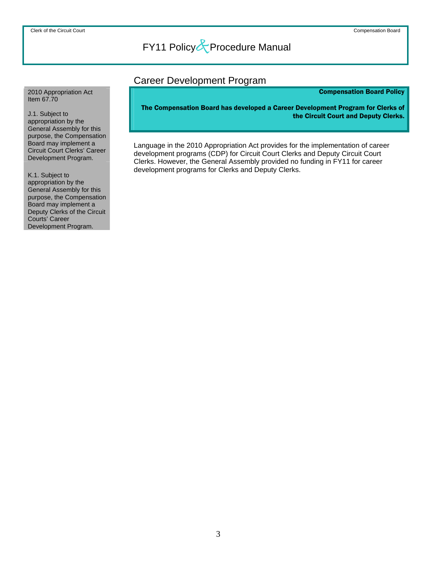## Career Development Program

### Compensation Board Policy

The Compensation Board has developed a Career Development Program for Clerks of the Circuit Court and Deputy Clerks.

Language in the 2010 Appropriation Act provides for the implementation of career development programs (CDP) for Circuit Court Clerks and Deputy Circuit Court Clerks. However, the General Assembly provided no funding in FY11 for career development programs for Clerks and Deputy Clerks.

<span id="page-3-0"></span>2010 Appropriation Act Item 67.70

J.1. Subject to appropriation by the General Assembly for this purpose, the Compensation Board may implement a Circuit Court Clerks' Career Development Program.

K.1. Subject to appropriation by the General Assembly for this purpose, the Compensation Board may implement a Deputy Clerks of the Circuit Courts' Career Development Program.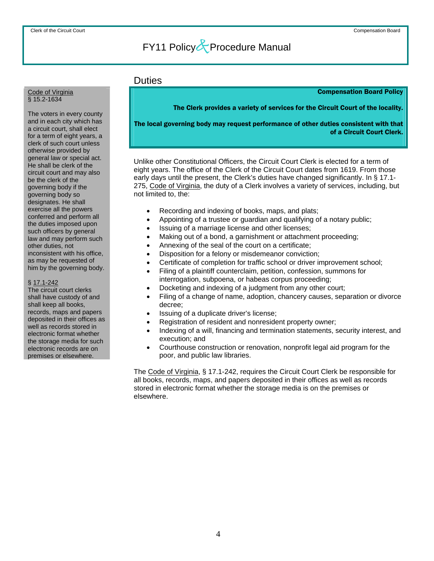### **Duties**

### Compensation Board Policy

The Clerk provides a variety of services for the Circuit Court of the locality.

The local governing body may request performance of other duties consistent with that of a Circuit Court Clerk.

Unlike other Constitutional Officers, the Circuit Court Clerk is elected for a term of eight years. The office of the Clerk of the Circuit Court dates from 1619. From those early days until the present, the Clerk's duties have changed significantly. In § 17.1- 275, Code of Virginia, the duty of a Clerk involves a variety of services, including, but not limited to, the:

- Recording and indexing of books, maps, and plats;
- Appointing of a trustee or guardian and qualifying of a notary public;
- Issuing of a marriage license and other licenses;
- Making out of a bond, a garnishment or attachment proceeding;
- Annexing of the seal of the court on a certificate;
- Disposition for a felony or misdemeanor conviction;
- Certificate of completion for traffic school or driver improvement school;
- Filing of a plaintiff counterclaim, petition, confession, summons for interrogation, subpoena, or habeas corpus proceeding;
- Docketing and indexing of a judgment from any other court;
- Filing of a change of name, adoption, chancery causes, separation or divorce decree;
- Issuing of a duplicate driver's license;
- Registration of resident and nonresident property owner;
- Indexing of a will, financing and termination statements, security interest, and execution; and
- Courthouse construction or renovation, nonprofit legal aid program for the poor, and public law libraries.

The Code of Virginia, § 17.1-242, requires the Circuit Court Clerk be responsible for all books, records, maps, and papers deposited in their offices as well as records stored in electronic format whether the storage media is on the premises or elsewhere.

### <span id="page-4-0"></span>Code of Virginia § 15.2-1634

The voters in every county and in each city which has a circuit court, shall elect for a term of eight years, a clerk of such court unless otherwise provided by general law or special act. He shall be clerk of the circuit court and may also be the clerk of the governing body if the governing body so designates. He shall exercise all the powers conferred and perform all the duties imposed upon such officers by general law and may perform such other duties, not inconsistent with his office, as may be requested of him by the governing body.

### § 17.1-242

The circuit court clerks shall have custody of and shall keep all books, records, maps and papers deposited in their offices as well as records stored in electronic format whether the storage media for such electronic records are on premises or elsewhere.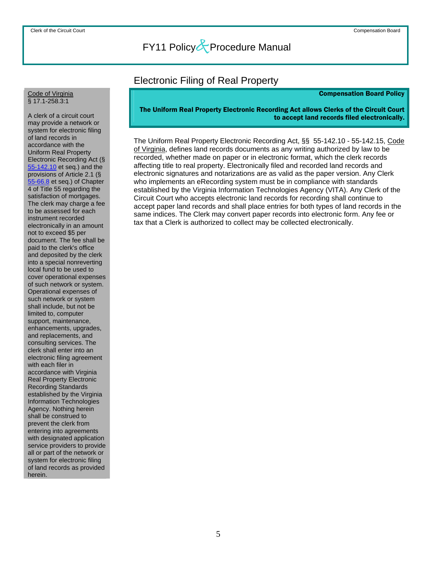## Electronic Filing of Real Property

#### Compensation Board Policy

### The Uniform Real Property Electronic Recording Act allows Clerks of the Circuit Court to accept land records filed electronically.

The Uniform Real Property Electronic Recording Act, §§ 55-142.10 - 55-142.15, Code of Virginia, defines land records documents as any writing authorized by law to be recorded, whether made on paper or in electronic format, which the clerk records affecting title to real property. Electronically filed and recorded land records and electronic signatures and notarizations are as valid as the paper version. Any Clerk who implements an eRecording system must be in compliance with standards established by the Virginia Information Technologies Agency (VITA). Any Clerk of the Circuit Court who accepts electronic land records for recording shall continue to accept paper land records and shall place entries for both types of land records in the same indices. The Clerk may convert paper records into electronic form. Any fee or tax that a Clerk is authorized to collect may be collected electronically.

### <span id="page-5-0"></span>Code of Virginia § 17.1-258.3:1

A clerk of a circuit court may provide a network or system for electronic filing of land records in accordance with the Uniform Real Property Electronic Recording Act (§ [55-142.10](http://leg1.state.va.us/cgi-bin/legp504.exe?000+cod+55-142.10) et seq.) and the provisions of Article 2.1 (§ [55-66.8](http://leg1.state.va.us/cgi-bin/legp504.exe?000+cod+55-66.8) et seq.) of Chapter 4 of Title 55 regarding the satisfaction of mortgages. The clerk may charge a fee to be assessed for each instrument recorded electronically in an amount not to exceed \$5 per document. The fee shall be paid to the clerk's office and deposited by the clerk into a special nonreverting local fund to be used to cover operational expenses of such network or system. Operational expenses of such network or system shall include, but not be limited to, computer support, maintenance, enhancements, upgrades, and replacements, and consulting services. The clerk shall enter into an electronic filing agreement with each filer in accordance with Virginia Real Property Electronic Recording Standards established by the Virginia Information Technologies Agency. Nothing herein shall be construed to prevent the clerk from entering into agreements with designated application service providers to provide all or part of the network or system for electronic filing of land records as provided herein.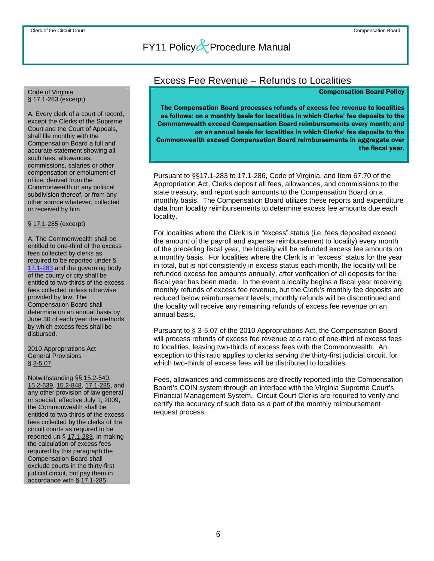### <span id="page-6-0"></span>Code of Virginia § 17.1-283 (excerpt)

A. Every clerk of a court of record, except the Clerks of the Supreme Court and the Court of Appeals, shall file monthly with the Compensation Board a full and accurate statement showing all such fees, allowances, commissions, salaries or other compensation or emolument of office, derived from the Commonwealth or any political subdivision thereof, or from any other source whatever, collected or received by him.

### § 17.1-285 (excerpt)

A. The Commonwealth shall be entitled to one-third of the excess fees collected by clerks as required to be reported under § [17.1-283](http://leg1.state.va.us/cgi-bin/legp504.exe?000+cod+17.1-283) and the governing body of the county or city shall be entitled to two-thirds of the excess fees collected unless otherwise provided by law. The Compensation Board shall determine on an annual basis by June 30 of each year the methods by which excess fees shall be disbursed.

2010 Appropriations Act General Provisions § 3-5.07

Notwithstanding §§ 15.2-540, 15.2-639, 15.2-848, 17.1-285, and any other provision of law general or special, effective July 1, 2009, the Commonwealth shall be entitled to two-thirds of the excess fees collected by the clerks of the circuit courts as required to be reported un § 17.1-283. In making the calculation of excess fees required by this paragraph the Compensation Board shall exclude courts in the thirty-first judicial circuit, but pay them in accordance with § 17.1-285.

## Excess Fee Revenue – Refunds to Localities

### Compensation Board Policy

The Compensation Board processes refunds of excess fee revenue to localities as follows: on a monthly basis for localities in which Clerks' fee deposits to the Commonwealth exceed Compensation Board reimbursements every month; and on an annual basis for localities in which Clerks' fee deposits to the Commonwealth exceed Compensation Board reimbursements in aggregate over the fiscal year.

Pursuant to §§17.1-283 to 17.1-286, Code of Virginia, and Item 67.70 of the Appropriation Act, Clerks deposit all fees, allowances, and commissions to the state treasury, and report such amounts to the Compensation Board on a monthly basis. The Compensation Board utilizes these reports and expenditure data from locality reimbursements to determine excess fee amounts due each locality.

For localities where the Clerk is in "excess" status (i.e. fees deposited exceed the amount of the payroll and expense reimbursement to locality) every month of the preceding fiscal year, the locality will be refunded excess fee amounts on a monthly basis. For localities where the Clerk is in "excess" status for the year in total, but is not consistently in excess status each month, the locality will be refunded excess fee amounts annually, after verification of all deposits for the fiscal year has been made. In the event a locality begins a fiscal year receiving monthly refunds of excess fee revenue, but the Clerk's monthly fee deposits are reduced below reimbursement levels, monthly refunds will be discontinued and the locality will receive any remaining refunds of excess fee revenue on an annual basis.

Pursuant to § 3-5.07 of the 2010 Appropriations Act, the Compensation Board will process refunds of excess fee revenue at a ratio of one-third of excess fees to localities, leaving two-thirds of excess fees with the Commonwealth. An exception to this ratio applies to clerks serving the thirty-first judicial circuit, for which two-thirds of excess fees will be distributed to localities.

Fees, allowances and commissions are directly reported into the Compensation Board's COIN system through an interface with the Virginia Supreme Court's Financial Management System. Circuit Court Clerks are required to verify and certify the accuracy of such data as a part of the monthly reimbursement request process.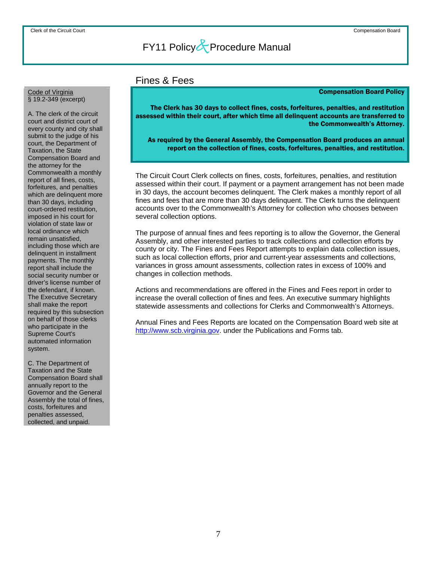### <span id="page-7-0"></span>Code of Virginia § 19.2-349 (excerpt)

A. The clerk of the circuit court and district court of every county and city shall submit to the judge of his court, the Department of Taxation, the State Compensation Board and the attorney for the Commonwealth a monthly report of all fines, costs, forfeitures, and penalties which are delinquent more than 30 days, including court-ordered restitution, imposed in his court for violation of state law or local ordinance which remain unsatisfied, including those which are delinquent in installment payments. The monthly report shall include the social security number or driver's license number of the defendant, if known. The Executive Secretary shall make the report required by this subsection on behalf of those clerks who participate in the Supreme Court's automated information system.

C. The Department of Taxation and the State Compensation Board shall annually report to the Governor and the General Assembly the total of fines, costs, forfeitures and penalties assessed, collected, and unpaid.

### Fines & Fees

### Compensation Board Policy

The Clerk has 30 days to collect fines, costs, forfeitures, penalties, and restitution assessed within their court, after which time all delinquent accounts are transferred to the Commonwealth's Attorney.

As required by the General Assembly, the Compensation Board produces an annual report on the collection of fines, costs, forfeitures, penalties, and restitution.

The Circuit Court Clerk collects on fines, costs, forfeitures, penalties, and restitution assessed within their court. If payment or a payment arrangement has not been made in 30 days, the account becomes delinquent. The Clerk makes a monthly report of all fines and fees that are more than 30 days delinquent. The Clerk turns the delinquent accounts over to the Commonwealth's Attorney for collection who chooses between several collection options.

The purpose of annual fines and fees reporting is to allow the Governor, the General Assembly, and other interested parties to track collections and collection efforts by county or city. The Fines and Fees Report attempts to explain data collection issues, such as local collection efforts, prior and current-year assessments and collections, variances in gross amount assessments, collection rates in excess of 100% and changes in collection methods.

Actions and recommendations are offered in the Fines and Fees report in order to increase the overall collection of fines and fees. An executive summary highlights statewide assessments and collections for Clerks and Commonwealth's Attorneys.

Annual Fines and Fees Reports are located on the Compensation Board web site at [http://www.scb.virginia.gov.](http://www.scb.virginia.gov/) under the Publications and Forms tab.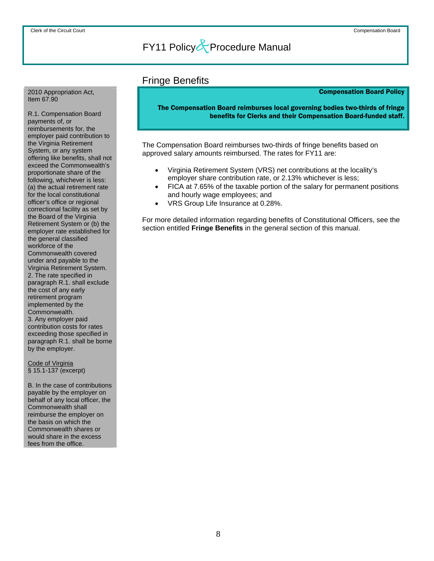## Fringe Benefits

### Compensation Board Policy

The Compensation Board reimburses local governing bodies two-thirds of fringe benefits for Clerks and their Compensation Board-funded staff.

The Compensation Board reimburses two-thirds of fringe benefits based on approved salary amounts reimbursed. The rates for FY11 are:

- Virginia Retirement System (VRS) net contributions at the locality's employer share contribution rate, or 2.13% whichever is less;
- FICA at 7.65% of the taxable portion of the salary for permanent positions and hourly wage employees; and
- VRS Group Life Insurance at 0.28%.

For more detailed information regarding benefits of Constitutional Officers, see the section entitled **Fringe Benefits** in the general section of this manual.

### <span id="page-8-0"></span>2010 Appropriation Act, Item 67.90

R.1. Compensation Board payments of, or reimbursements for, the employer paid contribution to the Virginia Retirement System, or any system offering like benefits, shall not exceed the Commonwealth's proportionate share of the following, whichever is less: (a) the actual retirement rate for the local constitutional officer's office or regional correctional facility as set by the Board of the Virginia Retirement System or (b) the employer rate established for the general classified workforce of the Commonwealth covered under and payable to the Virginia Retirement System. 2. The rate specified in paragraph R.1. shall exclude the cost of any early retirement program implemented by the Commonwealth. 3. Any employer paid contribution costs for rates exceeding those specified in paragraph R.1. shall be borne by the employer.

Code of Virginia § 15.1-137 (excerpt)

B. In the case of contributions payable by the employer on behalf of any local officer, the Commonwealth shall reimburse the employer on the basis on which the Commonwealth shares or would share in the excess fees from the office.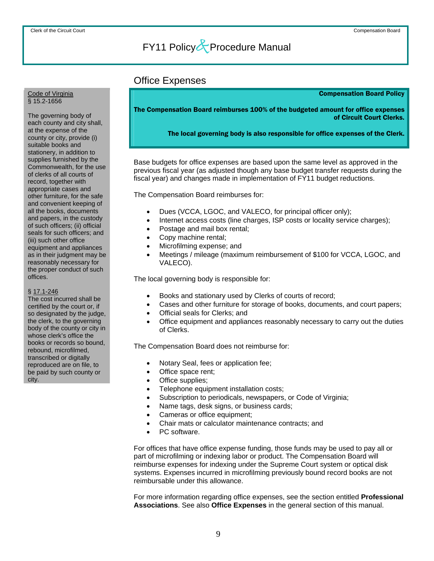## Office Expenses

Compensation Board Policy

The Compensation Board reimburses 100% of the budgeted amount for office expenses of Circuit Court Clerks.

The local governing body is also responsible for office expenses of the Clerk.

Base budgets for office expenses are based upon the same level as approved in the previous fiscal year (as adjusted though any base budget transfer requests during the fiscal year) and changes made in implementation of FY11 budget reductions.

The Compensation Board reimburses for:

- Dues (VCCA, LGOC, and VALECO, for principal officer only);
- Internet access costs (line charges, ISP costs or locality service charges);
- Postage and mail box rental;
- Copy machine rental;
- Microfilming expense; and
- Meetings / mileage (maximum reimbursement of \$100 for VCCA, LGOC, and VALECO).

The local governing body is responsible for:

- Books and stationary used by Clerks of courts of record;
- Cases and other furniture for storage of books, documents, and court papers;
- Official seals for Clerks; and
- Office equipment and appliances reasonably necessary to carry out the duties of Clerks.

The Compensation Board does not reimburse for:

- Notary Seal, fees or application fee;
- Office space rent;
- Office supplies;
- Telephone equipment installation costs;
- Subscription to periodicals, newspapers, or Code of Virginia;
- Name tags, desk signs, or business cards;
- Cameras or office equipment;
- Chair mats or calculator maintenance contracts; and
- PC software.

For offices that have office expense funding, those funds may be used to pay all or part of microfilming or indexing labor or product. The Compensation Board will reimburse expenses for indexing under the Supreme Court system or optical disk systems. Expenses incurred in microfilming previously bound record books are not reimbursable under this allowance.

For more information regarding office expenses, see the section entitled **Professional Associations**. See also **Office Expenses** in the general section of this manual.

### <span id="page-9-0"></span>Code of Virginia § 15.2-1656

The governing body of each county and city shall, at the expense of the county or city, provide (i) suitable books and stationery, in addition to supplies furnished by the Commonwealth, for the use of clerks of all courts of record, together with appropriate cases and other furniture, for the safe and convenient keeping of all the books, documents and papers, in the custody of such officers; (ii) official seals for such officers; and (iii) such other office equipment and appliances as in their judgment may be reasonably necessary for the proper conduct of such offices.

### § 17.1-246

The cost incurred shall be certified by the court or, if so designated by the judge, the clerk, to the governing body of the county or city in whose clerk's office the books or records so bound, rebound, microfilmed, transcribed or digitally reproduced are on file, to be paid by such county or city.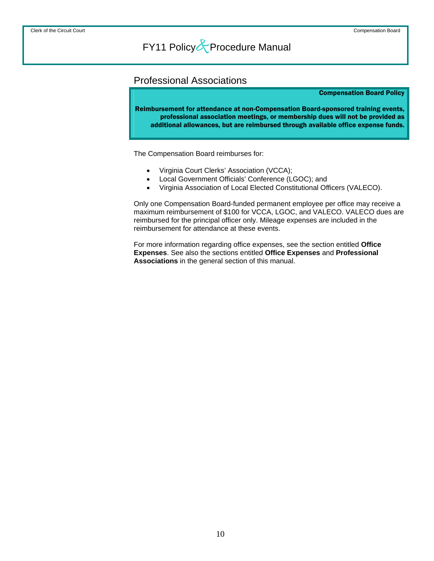### <span id="page-10-0"></span>Professional Associations

### Compensation Board Policy

Reimbursement for attendance at non-Compensation Board-sponsored training events, professional association meetings, or membership dues will not be provided as additional allowances, but are reimbursed through available office expense funds.

The Compensation Board reimburses for:

- Virginia Court Clerks' Association (VCCA);
- Local Government Officials' Conference (LGOC); and
- Virginia Association of Local Elected Constitutional Officers (VALECO).

Only one Compensation Board-funded permanent employee per office may receive a maximum reimbursement of \$100 for VCCA, LGOC, and VALECO. VALECO dues are reimbursed for the principal officer only. Mileage expenses are included in the reimbursement for attendance at these events.

For more information regarding office expenses, see the section entitled **Office Expenses**. See also the sections entitled **Office Expenses** and **Professional Associations** in the general section of this manual.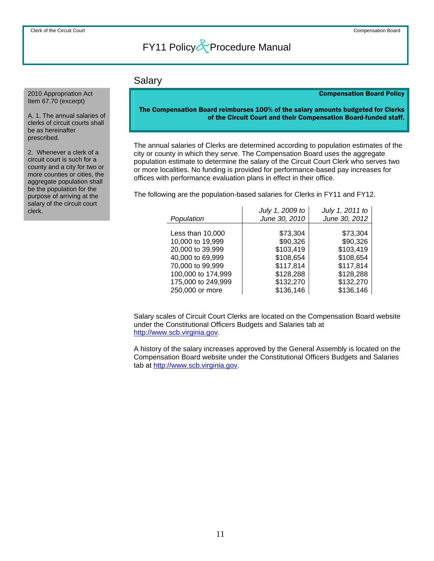## Salary

Compensation Board Policy

The Compensation Board reimburses 100% of the salary amounts budgeted for Clerks of the Circuit Court and their Compensation Board-funded staff.

The annual salaries of Clerks are determined according to population estimates of the city or county in which they serve. The Compensation Board uses the aggregate population estimate to determine the salary of the Circuit Court Clerk who serves two or more localities. No funding is provided for performance-based pay increases for offices with performance evaluation plans in effect in their office.

The following are the population-based salaries for Clerks in FY11 and FY12.

|                    | July 1, 2009 to | July 1, 2011 to |
|--------------------|-----------------|-----------------|
| Population         | June 30, 2010   | June 30, 2012   |
|                    |                 |                 |
| Less than 10,000   | \$73,304        | \$73,304        |
| 10,000 to 19,999   | \$90,326        | \$90,326        |
| 20,000 to 39,999   | \$103,419       | \$103,419       |
| 40,000 to 69,999   | \$108,654       | \$108,654       |
| 70,000 to 99,999   | \$117,814       | \$117,814       |
| 100,000 to 174,999 | \$128,288       | \$128,288       |
| 175,000 to 249,999 | \$132,270       | \$132,270       |
| 250,000 or more    | \$136,146       | \$136,146       |

Salary scales of Circuit Court Clerks are located on the Compensation Board website under the Constitutional Officers Budgets and Salaries tab at [http://www.scb.virginia.gov](http://www.scb.virginia.gov/).

A history of the salary increases approved by the General Assembly is located on the Compensation Board website under the Constitutional Officers Budgets and Salaries tab at [http://www.scb.virginia.gov](http://www.scb.virginia.gov/).

<span id="page-11-0"></span>2010 Appropriation Act Item 67.70 (excerpt)

A. 1. The annual salaries of clerks of circuit courts shall be as hereinafter prescribed.

2. Whenever a clerk of a circuit court is such for a county and a city for two or more counties or cities, the aggregate population shall be the population for the purpose of arriving at the salary of the circuit court clerk.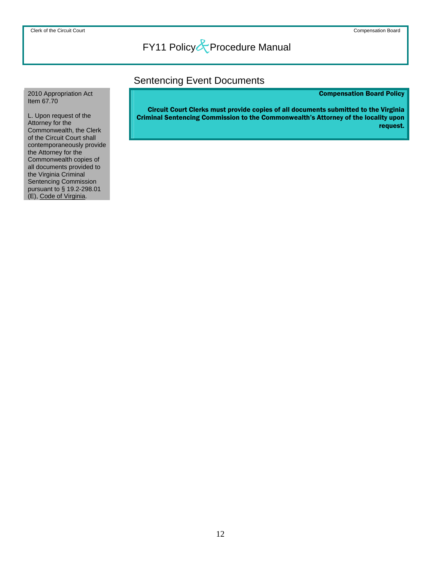## Sentencing Event Documents

### Compensation Board Policy

Circuit Court Clerks must provide copies of all documents submitted to the Virginia Criminal Sentencing Commission to the Commonwealth's Attorney of the locality upon request.

<span id="page-12-0"></span>2010 Appropriation Act Item 67.70

L. Upon request of the Attorney for the Commonwealth, the Clerk of the Circuit Court shall contemporaneously provide the Attorney for the Commonwealth copies of all documents provided to the Virginia Criminal Sentencing Commission pursuant to § 19.2-298.01 (E), Code of Virginia.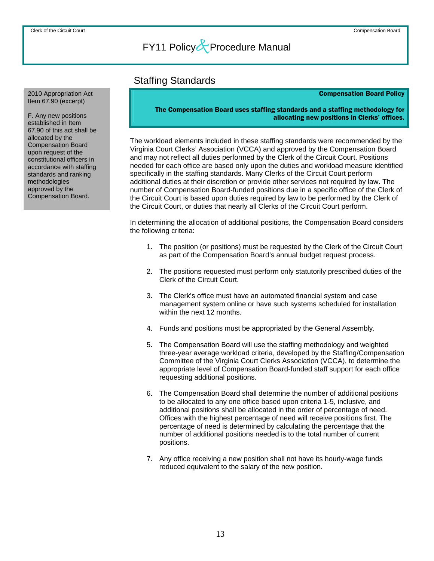### Staffing Standards

### Compensation Board Policy

### The Compensation Board uses staffing standards and a staffing methodology for allocating new positions in Clerks' offices.

The workload elements included in these staffing standards were recommended by the Virginia Court Clerks' Association (VCCA) and approved by the Compensation Board and may not reflect all duties performed by the Clerk of the Circuit Court. Positions needed for each office are based only upon the duties and workload measure identified specifically in the staffing standards. Many Clerks of the Circuit Court perform additional duties at their discretion or provide other services not required by law. The number of Compensation Board-funded positions due in a specific office of the Clerk of the Circuit Court is based upon duties required by law to be performed by the Clerk of the Circuit Court, or duties that nearly all Clerks of the Circuit Court perform.

In determining the allocation of additional positions, the Compensation Board considers the following criteria:

- 1. The position (or positions) must be requested by the Clerk of the Circuit Court as part of the Compensation Board's annual budget request process.
- 2. The positions requested must perform only statutorily prescribed duties of the Clerk of the Circuit Court.
- 3. The Clerk's office must have an automated financial system and case management system online or have such systems scheduled for installation within the next 12 months.
- 4. Funds and positions must be appropriated by the General Assembly.
- 5. The Compensation Board will use the staffing methodology and weighted three-year average workload criteria, developed by the Staffing/Compensation Committee of the Virginia Court Clerks Association (VCCA), to determine the appropriate level of Compensation Board-funded staff support for each office requesting additional positions.
- 6. The Compensation Board shall determine the number of additional positions to be allocated to any one office based upon criteria 1-5, inclusive, and additional positions shall be allocated in the order of percentage of need. Offices with the highest percentage of need will receive positions first. The percentage of need is determined by calculating the percentage that the number of additional positions needed is to the total number of current positions.
- 7. Any office receiving a new position shall not have its hourly-wage funds reduced equivalent to the salary of the new position.

<span id="page-13-0"></span>2010 Appropriation Act Item 67.90 (excerpt)

F. Any new positions established in Item 67.90 of this act shall be allocated by the Compensation Board upon request of the constitutional officers in accordance with staffing standards and ranking methodologies approved by the Compensation Board.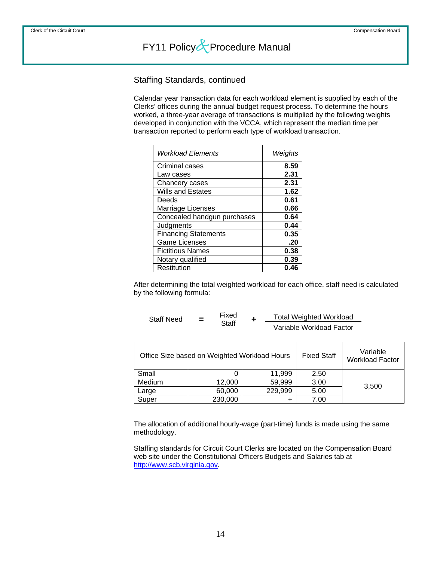Staffing Standards, continued

Calendar year transaction data for each workload element is supplied by each of the Clerks' offices during the annual budget request process. To determine the hours worked, a three-year average of transactions is multiplied by the following weights developed in conjunction with the VCCA, which represent the median time per transaction reported to perform each type of workload transaction.

| <b>Workload Elements</b>    | Weights |
|-----------------------------|---------|
| Criminal cases              | 8.59    |
| Law cases                   | 2.31    |
| Chancery cases              | 2.31    |
| <b>Wills and Estates</b>    | 1.62    |
| Deeds                       | 0.61    |
| Marriage Licenses           | 0.66    |
| Concealed handgun purchases | 0.64    |
| Judgments                   | 0.44    |
| <b>Financing Statements</b> | 0.35    |
| <b>Game Licenses</b>        | .20     |
| <b>Fictitious Names</b>     | 0.38    |
| Notary qualified            | 0.39    |
| Restitution                 | 0.46    |

After determining the total weighted workload for each office, staff need is calculated by the following formula:

| <b>Staff Need</b> |  | Fixed<br>Staff |  | <b>Total Weighted Workload</b> |
|-------------------|--|----------------|--|--------------------------------|
|                   |  |                |  | Variable Workload Factor       |

| Office Size based on Weighted Workload Hours |         |         | <b>Fixed Staff</b> | Variable<br><b>Workload Factor</b> |
|----------------------------------------------|---------|---------|--------------------|------------------------------------|
| Small                                        |         | 11,999  | 2.50               |                                    |
| Medium                                       | 12,000  | 59,999  | 3.00               |                                    |
| Large                                        | 60,000  | 229,999 | 5.00               | 3,500                              |
| Super                                        | 230,000 |         | 7.00               |                                    |

The allocation of additional hourly-wage (part-time) funds is made using the same methodology.

Staffing standards for Circuit Court Clerks are located on the Compensation Board web site under the Constitutional Officers Budgets and Salaries tab at [http://www.scb.virginia.gov](http://www.scb.virginia.gov/).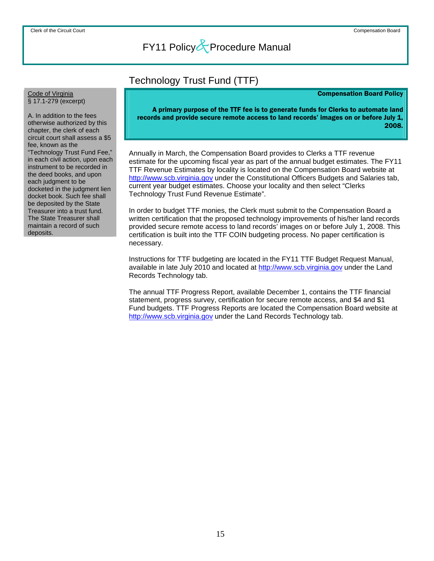## Technology Trust Fund (TTF)

### Compensation Board Policy

<span id="page-15-0"></span>Code of Virginia § 17.1-279 (excerpt)

A. In addition to the fees otherwise authorized by this chapter, the clerk of each circuit court shall assess a \$5 fee, known as the "Technology Trust Fund Fee,"

in each civil action, upon each instrument to be recorded in the deed books, and upon each judgment to be docketed in the judgment lien docket book. Such fee shall be deposited by the State Treasurer into a trust fund. The State Treasurer shall maintain a record of such deposits.

A primary purpose of the TTF fee is to generate funds for Clerks to automate land records and provide secure remote access to land records' images on or before July 1, 2008.

Annually in March, the Compensation Board provides to Clerks a TTF revenue estimate for the upcoming fiscal year as part of the annual budget estimates. The FY11 TTF Revenue Estimates by locality is located on the Compensation Board website at [http://www.scb.virginia.gov](http://www.scb.virginia.gov/) under the Constitutional Officers Budgets and Salaries tab, current year budget estimates. Choose your locality and then select "Clerks Technology Trust Fund Revenue Estimate".

In order to budget TTF monies, the Clerk must submit to the Compensation Board a written certification that the proposed technology improvements of his/her land records provided secure remote access to land records' images on or before July 1, 2008. This certification is built into the TTF COIN budgeting process. No paper certification is necessary.

Instructions for TTF budgeting are located in the FY11 TTF Budget Request Manual, available in late July 2010 and located at [http://www.scb.virginia.gov](http://www.scb.virginia.gov/) under the Land Records Technology tab.

The annual TTF Progress Report, available December 1, contains the TTF financial statement, progress survey, certification for secure remote access, and \$4 and \$1 Fund budgets. TTF Progress Reports are located the Compensation Board website at [http://www.scb.virginia.gov](http://www.scb.virginia.gov/) under the Land Records Technology tab.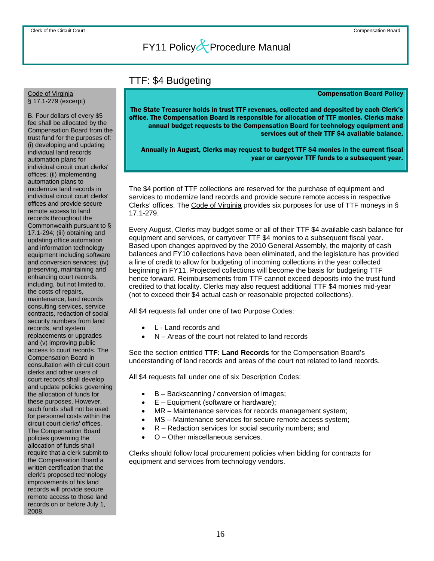## TTF: \$4 Budgeting

#### Compensation Board Policy

The State Treasurer holds in trust TTF revenues, collected and deposited by each Clerk's office. The Compensation Board is responsible for allocation of TTF monies. Clerks make annual budget requests to the Compensation Board for technology equipment and services out of their TTF \$4 available balance.

Annually in August, Clerks may request to budget TTF \$4 monies in the current fiscal year or carryover TTF funds to a subsequent year.

The \$4 portion of TTF collections are reserved for the purchase of equipment and services to modernize land records and provide secure remote access in respective Clerks' offices. The Code of Virginia provides six purposes for use of TTF moneys in § 17.1-279.

Every August, Clerks may budget some or all of their TTF \$4 available cash balance for equipment and services, or carryover TTF \$4 monies to a subsequent fiscal year. Based upon changes approved by the 2010 General Assembly, the majority of cash balances and FY10 collections have been eliminated, and the legislature has provided a line of credit to allow for budgeting of incoming collections in the year collected beginning in FY11. Projected collections will become the basis for budgeting TTF hence forward. Reimbursements from TTF cannot exceed deposits into the trust fund credited to that locality. Clerks may also request additional TTF \$4 monies mid-year (not to exceed their \$4 actual cash or reasonable projected collections).

All \$4 requests fall under one of two Purpose Codes:

- L Land records and
- $N -$  Areas of the court not related to land records

See the section entitled **TTF: Land Records** for the Compensation Board's understanding of land records and areas of the court not related to land records.

All \$4 requests fall under one of six Description Codes:

- B Backscanning / conversion of images;
- E Equipment (software or hardware);
- MR Maintenance services for records management system;
- MS Maintenance services for secure remote access system;
	- R Redaction services for social security numbers; and
- O Other miscellaneous services.

Clerks should follow local procurement policies when bidding for contracts for equipment and services from technology vendors.

### <span id="page-16-0"></span>Code of Virginia § 17.1-279 (excerpt)

B. Four dollars of every \$5 fee shall be allocated by the Compensation Board from the trust fund for the purposes of: (i) developing and updating individual land records automation plans for individual circuit court clerks' offices; (ii) implementing automation plans to modernize land records in individual circuit court clerks' offices and provide secure remote access to land records throughout the Commonwealth pursuant to § 17.1-294; (iii) obtaining and updating office automation and information technology equipment including software and conversion services; (iv) preserving, maintaining and enhancing court records, including, but not limited to, the costs of repairs, maintenance, land records consulting services, service contracts, redaction of social security numbers from land records, and system replacements or upgrades and (v) improving public access to court records. The Compensation Board in consultation with circuit court clerks and other users of court records shall develop and update policies governing the allocation of funds for these purposes. However, such funds shall not be used for personnel costs within the circuit court clerks' offices. The Compensation Board policies governing the allocation of funds shall require that a clerk submit to the Compensation Board a written certification that the clerk's proposed technology improvements of his land records will provide secure remote access to those land records on or before July 1, 2008.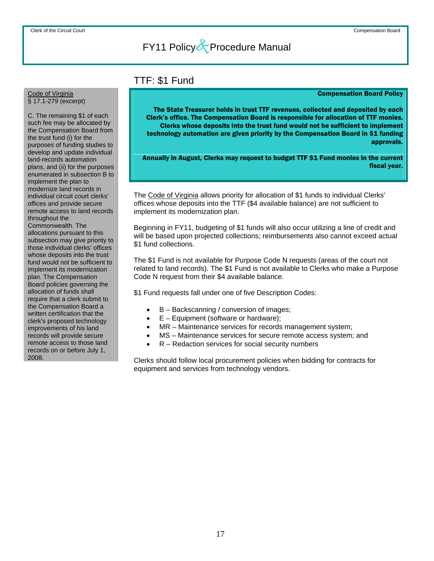## TTF: \$1 Fund

### Compensation Board Policy

The State Treasurer holds in trust TTF revenues, collected and deposited by each Clerk's office. The Compensation Board is responsible for allocation of TTF monies. Clerks whose deposits into the trust fund would not be sufficient to implement technology automation are given priority by the Compensation Board in \$1 funding approvals.

Annually in August, Clerks may request to budget TTF \$1 Fund monies in the current fiscal year.

The Code of Virginia allows priority for allocation of \$1 funds to individual Clerks' offices whose deposits into the TTF (\$4 available balance) are not sufficient to implement its modernization plan.

Beginning in FY11, budgeting of \$1 funds will also occur utilizing a line of credit and will be based upon projected collections; reimbursements also cannot exceed actual \$1 fund collections.

The \$1 Fund is not available for Purpose Code N requests (areas of the court not related to land records). The \$1 Fund is not available to Clerks who make a Purpose Code N request from their \$4 available balance.

\$1 Fund requests fall under one of five Description Codes:

- B Backscanning / conversion of images;
- E Equipment (software or hardware);
- MR Maintenance services for records management system;
- MS Maintenance services for secure remote access system; and
- R Redaction services for social security numbers

Clerks should follow local procurement policies when bidding for contracts for equipment and services from technology vendors.

### <span id="page-17-0"></span>Code of Virginia § 17.1-279 (excerpt)

C. The remaining \$1 of each such fee may be allocated by the Compensation Board from the trust fund (i) for the purposes of funding studies to develop and update individual land-records automation plans, and (ii) for the purposes enumerated in subsection B to implement the plan to modernize land records in individual circuit court clerks' offices and provide secure remote access to land records throughout the Commonwealth. The allocations pursuant to this subsection may give priority to those individual clerks' offices whose deposits into the trust fund would not be sufficient to implement its modernization plan. The Compensation Board policies governing the allocation of funds shall require that a clerk submit to the Compensation Board a written certification that the clerk's proposed technology improvements of his land records will provide secure remote access to those land records on or before July 1, 2008.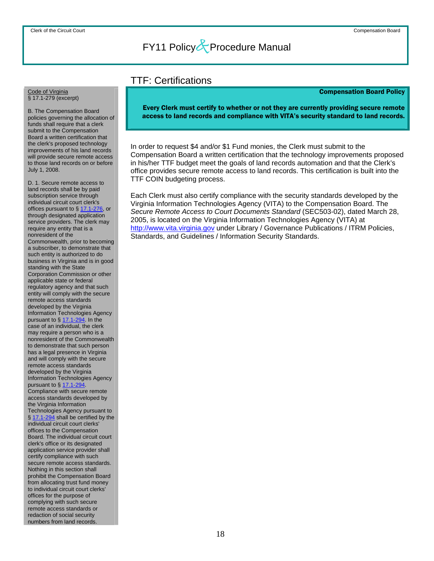## TTF: Certifications

### Compensation Board Policy

<span id="page-18-0"></span>Code of Virginia § 17.1-279 (excerpt)

B. The Compensation Board policies governing the allocation of funds shall require that a clerk submit to the Compensation Board a written certification that the clerk's proposed technology improvements of his land records will provide secure remote access to those land records on or before July 1, 2008.

D. 1. Secure remote access to land records shall be by paid subscription service through individual circuit court clerk's offices pursuant to § [17.1-276](http://leg1.state.va.us/cgi-bin/legp504.exe?000+cod+17.1-276), or through designated application service providers. The clerk may require any entity that is a nonresident of the Commonwealth, prior to becoming a subscriber, to demonstrate that such entity is authorized to do business in Virginia and is in good standing with the State Corporation Commission or other applicable state or federal regulatory agency and that such entity will comply with the secure remote access standards developed by the Virginia Information Technologies Agency pursuant to § [17.1-294.](http://leg1.state.va.us/cgi-bin/legp504.exe?000+cod+17.1-294) In the case of an individual, the clerk may require a person who is a nonresident of the Commonwealth to demonstrate that such person has a legal presence in Virginia and will comply with the secure remote access standards developed by the Virginia Information Technologies Agency pursuant to § 17.1-29 Compliance with secure remote access standards developed by the Virginia Information Technologies Agency pursuant to § [17.1-294](http://leg1.state.va.us/cgi-bin/legp504.exe?000+cod+17.1-294) shall be certified by the individual circuit court clerks' offices to the Compensation Board. The individual circuit court clerk's office or its designated application service provider shall certify compliance with such secure remote access standards. Nothing in this section shall prohibit the Compensation Board from allocating trust fund money to individual circuit court clerks' offices for the purpose of complying with such secure remote access standards or redaction of social security numbers from land records.

Every Clerk must certify to whether or not they are currently providing secure remote access to land records and compliance with VITA's security standard to land records.

In order to request \$4 and/or \$1 Fund monies, the Clerk must submit to the Compensation Board a written certification that the technology improvements proposed in his/her TTF budget meet the goals of land records automation and that the Clerk's office provides secure remote access to land records. This certification is built into the TTF COIN budgeting process.

Each Clerk must also certify compliance with the security standards developed by the Virginia Information Technologies Agency (VITA) to the Compensation Board. The *Secure Remote Access to Court Documents Standard* (SEC503-02), dated March 28, 2005, is located on the Virginia Information Technologies Agency (VITA) at [http://www.vita.virginia.gov](http://www.vita.virginia.gov/) under Library / Governance Publications / ITRM Policies, Standards, and Guidelines / Information Security Standards.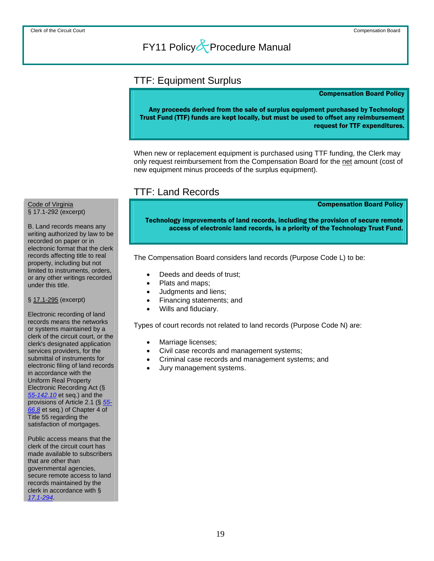## <span id="page-19-0"></span>TTF: Equipment Surplus

### Compensation Board Policy

Any proceeds derived from the sale of surplus equipment purchased by Technology Trust Fund (TTF) funds are kept locally, but must be used to offset any reimbursement request for TTF expenditures.

When new or replacement equipment is purchased using TTF funding, the Clerk may only request reimbursement from the Compensation Board for the net amount (cost of new equipment minus proceeds of the surplus equipment).

## TTF: Land Records

Compensation Board Policy

Technology improvements of land records, including the provision of secure remote access of electronic land records, is a priority of the Technology Trust Fund.

The Compensation Board considers land records (Purpose Code L) to be:

- Deeds and deeds of trust;
- Plats and maps;
- Judgments and liens;
- Financing statements; and
- Wills and fiduciary.

Types of court records not related to land records (Purpose Code N) are:

- Marriage licenses;
- Civil case records and management systems;
- Criminal case records and management systems; and
- Jury management systems.

Code of Virginia § 17.1-292 (excerpt)

B. Land records means any writing authorized by law to be recorded on paper or in electronic format that the clerk records affecting title to real property, including but not limited to instruments, orders, or any other writings recorded under this title.

§ 17.1-295 (excerpt)

Electronic recording of land records means the networks or systems maintained by a clerk of the circuit court, or the clerk's designated application services providers, for the submittal of instruments for electronic filing of land records in accordance with the Uniform Real Property Electronic Recording Act (§ *[55-142.10](http://leg1.state.va.us/cgi-bin/legp504.exe?000+cod+55-142.10)* et seq.) and the provisions of Article 2.1 (§ *[55-](http://leg1.state.va.us/cgi-bin/legp504.exe?000+cod+55-66.8) [66.8](http://leg1.state.va.us/cgi-bin/legp504.exe?000+cod+55-66.8)* et seq.) of Chapter 4 of Title 55 regarding the satisfaction of mortgages.

Public access means that the clerk of the circuit court has made available to subscribers that are other than governmental agencies, secure remote access to land records maintained by the clerk in accordance with § *[17.1-294](http://leg1.state.va.us/cgi-bin/legp504.exe?000+cod+17.1-294)*.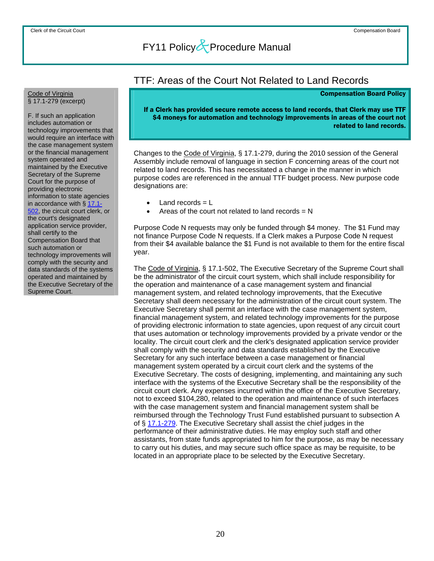## TTF: Areas of the Court Not Related to Land Records

Compensation Board Policy

### If a Clerk has provided secure remote access to land records, that Clerk may use TTF \$4 moneys for automation and technology improvements in areas of the court not related to land records.

Changes to the Code of Virginia, § 17.1-279, during the 2010 session of the General Assembly include removal of language in section F concerning areas of the court not related to land records. This has necessitated a change in the manner in which purpose codes are referenced in the annual TTF budget process. New purpose code designations are:

- Land records  $= L$
- Areas of the court not related to land records  $= N$

Purpose Code N requests may only be funded through \$4 money. The \$1 Fund may not finance Purpose Code N requests. If a Clerk makes a Purpose Code N request from their \$4 available balance the \$1 Fund is not available to them for the entire fiscal year.

The Code of Virginia, § 17.1-502, The Executive Secretary of the Supreme Court shall be the administrator of the circuit court system, which shall include responsibility for the operation and maintenance of a case management system and financial management system, and related technology improvements, that the Executive Secretary shall deem necessary for the administration of the circuit court system. The Executive Secretary shall permit an interface with the case management system, financial management system, and related technology improvements for the purpose of providing electronic information to state agencies, upon request of any circuit court that uses automation or technology improvements provided by a private vendor or the locality. The circuit court clerk and the clerk's designated application service provider shall comply with the security and data standards established by the Executive Secretary for any such interface between a case management or financial management system operated by a circuit court clerk and the systems of the Executive Secretary. The costs of designing, implementing, and maintaining any such interface with the systems of the Executive Secretary shall be the responsibility of the circuit court clerk. Any expenses incurred within the office of the Executive Secretary, not to exceed \$104,280, related to the operation and maintenance of such interfaces with the case management system and financial management system shall be reimbursed through the Technology Trust Fund established pursuant to subsection A of § [17.1-279.](http://leg1.state.va.us/cgi-bin/legp504.exe?000+cod+17.1-279) The Executive Secretary shall assist the chief judges in the performance of their administrative duties. He may employ such staff and other assistants, from state funds appropriated to him for the purpose, as may be necessary to carry out his duties, and may secure such office space as may be requisite, to be located in an appropriate place to be selected by the Executive Secretary.

### <span id="page-20-0"></span>Code of Virginia § 17.1-279 (excerpt)

F. If such an application includes automation or technology improvements that would require an interface with the case management system or the financial management system operated and maintained by the Executive Secretary of the Supreme Court for the purpose of providing electronic information to state agencies in accordance with § [17.1-](http://leg1.state.va.us/cgi-bin/legp504.exe?000+cod+17.1-502) [502](http://leg1.state.va.us/cgi-bin/legp504.exe?000+cod+17.1-502), the circuit court clerk, or the court's designated application service provider, shall certify to the Compensation Board that such automation or technology improvements will comply with the security and data standards of the systems operated and maintained by the Executive Secretary of the Supreme Court.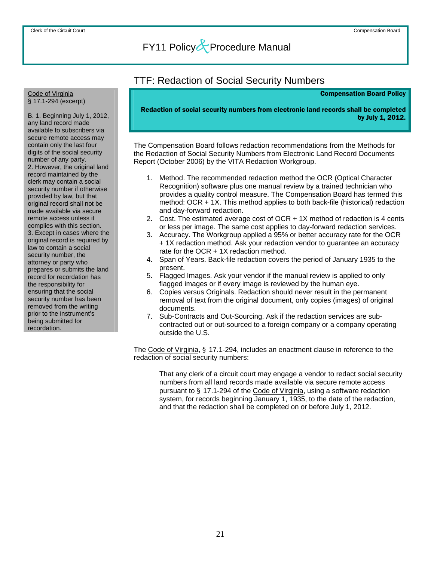## TTF: Redaction of Social Security Numbers

Compensation Board Policy

Redaction of social security numbers from electronic land records shall be completed by July 1, 2012.

The Compensation Board follows redaction recommendations from the Methods for the Redaction of Social Security Numbers from Electronic Land Record Documents Report (October 2006) by the VITA Redaction Workgroup.

- 1. Method. The recommended redaction method the OCR (Optical Character Recognition) software plus one manual review by a trained technician who provides a quality control measure. The Compensation Board has termed this method: OCR + 1X. This method applies to both back-file (historical) redaction and day-forward redaction.
- 2. Cost. The estimated average cost of OCR + 1X method of redaction is 4 cents or less per image. The same cost applies to day-forward redaction services.
- 3. Accuracy. The Workgroup applied a 95% or better accuracy rate for the OCR + 1X redaction method. Ask your redaction vendor to guarantee an accuracy rate for the OCR + 1X redaction method.
- 4. Span of Years. Back-file redaction covers the period of January 1935 to the present.
- 5. Flagged Images. Ask your vendor if the manual review is applied to only flagged images or if every image is reviewed by the human eye.
- 6. Copies versus Originals. Redaction should never result in the permanent removal of text from the original document, only copies (images) of original documents.
- 7. Sub-Contracts and Out-Sourcing. Ask if the redaction services are subcontracted out or out-sourced to a foreign company or a company operating outside the U.S.

The Code of Virginia, § 17.1-294, includes an enactment clause in reference to the redaction of social security numbers:

That any clerk of a circuit court may engage a vendor to redact social security numbers from all land records made available via secure remote access pursuant to § 17.1-294 of the Code of Virginia, using a software redaction system, for records beginning January 1, 1935, to the date of the redaction, and that the redaction shall be completed on or before July 1, 2012.

<span id="page-21-0"></span>Code of Virginia § 17.1-294 (excerpt)

B. 1. Beginning July 1, 2012, any land record made available to subscribers via secure remote access may contain only the last four digits of the social security number of any party. 2. However, the original land record maintained by the clerk may contain a social security number if otherwise provided by law, but that original record shall not be made available via secure remote access unless it complies with this section. 3. Except in cases where the original record is required by law to contain a social security number, the attorney or party who prepares or submits the land record for recordation has the responsibility for ensuring that the social security number has been removed from the writing prior to the instrument's being submitted for recordation.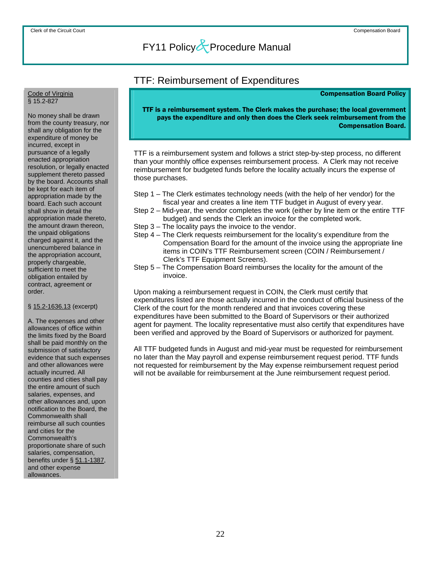## TTF: Reimbursement of Expenditures

Compensation Board Policy

### <span id="page-22-0"></span>Code of Virginia § 15.2-827

No money shall be drawn from the county treasury, nor shall any obligation for the expenditure of money be incurred, except in pursuance of a legally enacted appropriation resolution, or legally enacted supplement thereto passed by the board. Accounts shall be kept for each item of appropriation made by the board. Each such account shall show in detail the appropriation made thereto, the amount drawn thereon, the unpaid obligations charged against it, and the unencumbered balance in the appropriation account, properly chargeable, sufficient to meet the obligation entailed by contract, agreement or order.

### § 15.2-1636.13 (excerpt)

A. The expenses and other allowances of office within the limits fixed by the Board shall be paid monthly on the submission of satisfactory evidence that such expenses and other allowances were actually incurred. All counties and cities shall pay the entire amount of such salaries, expenses, and other allowances and, upon notification to the Board, the Commonwealth shall reimburse all such counties and cities for the Commonwealth's proportionate share of such salaries, compensation, benefits under § 51.1-1387, and other expense allowances.

### TTF is a reimbursement system. The Clerk makes the purchase; the local government pays the expenditure and only then does the Clerk seek reimbursement from the Compensation Board.

TTF is a reimbursement system and follows a strict step-by-step process, no different than your monthly office expenses reimbursement process. A Clerk may not receive reimbursement for budgeted funds before the locality actually incurs the expense of those purchases.

- Step 1 The Clerk estimates technology needs (with the help of her vendor) for the fiscal year and creates a line item TTF budget in August of every year.
- Step 2 Mid-year, the vendor completes the work (either by line item or the entire TTF budget) and sends the Clerk an invoice for the completed work.
- Step 3 The locality pays the invoice to the vendor.
- Step 4 The Clerk requests reimbursement for the locality's expenditure from the Compensation Board for the amount of the invoice using the appropriate line items in COIN's TTF Reimbursement screen (COIN / Reimbursement / Clerk's TTF Equipment Screens).
- Step 5 The Compensation Board reimburses the locality for the amount of the invoice.

Upon making a reimbursement request in COIN, the Clerk must certify that expenditures listed are those actually incurred in the conduct of official business of the Clerk of the court for the month rendered and that invoices covering these expenditures have been submitted to the Board of Supervisors or their authorized agent for payment. The locality representative must also certify that expenditures have been verified and approved by the Board of Supervisors or authorized for payment.

All TTF budgeted funds in August and mid-year must be requested for reimbursement no later than the May payroll and expense reimbursement request period. TTF funds not requested for reimbursement by the May expense reimbursement request period will not be available for reimbursement at the June reimbursement request period.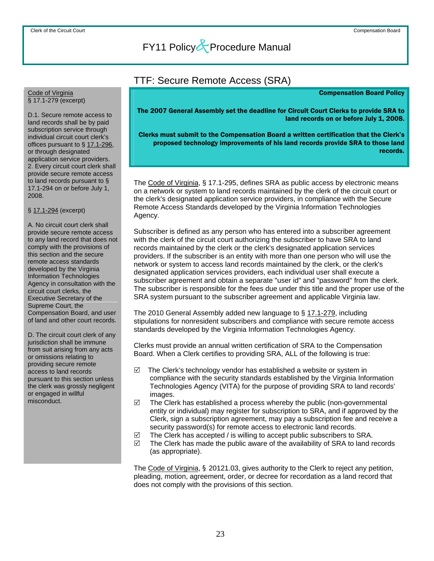## TTF: Secure Remote Access (SRA)

Compensation Board Policy

#### <span id="page-23-0"></span>Code of Virginia § 17.1-279 (excerpt)

D.1. Secure remote access to land records shall be by paid subscription service through individual circuit court clerk's offices pursuant to § 17.1-296, or through designated application service providers. 2. Every circuit court clerk shall provide secure remote access to land records pursuant to § 17.1-294 on or before July 1, 2008.

### § 17.1-294 (excerpt)

A. No circuit court clerk shall provide secure remote access to any land record that does not comply with the provisions of this section and the secure remote access standards developed by the Virginia Information Technologies Agency in consultation with the circuit court clerks, the Executive Secretary of the Supreme Court, the Compensation Board, and user of land and other court records.

D. The circuit court clerk of any jurisdiction shall be immune from suit arising from any acts or omissions relating to providing secure remote access to land records pursuant to this section unless the clerk was grossly negligent or engaged in willful misconduct.

The 2007 General Assembly set the deadline for Circuit Court Clerks to provide SRA to land records on or before July 1, 2008.

Clerks must submit to the Compensation Board a written certification that the Clerk's proposed technology improvements of his land records provide SRA to those land records.

The Code of Virginia, § 17.1-295, defines SRA as public access by electronic means on a network or system to land records maintained by the clerk of the circuit court or the clerk's designated application service providers, in compliance with the Secure Remote Access Standards developed by the Virginia Information Technologies Agency.

Subscriber is defined as any person who has entered into a subscriber agreement with the clerk of the circuit court authorizing the subscriber to have SRA to land records maintained by the clerk or the clerk's designated application services providers. If the subscriber is an entity with more than one person who will use the network or system to access land records maintained by the clerk, or the clerk's designated application services providers, each individual user shall execute a subscriber agreement and obtain a separate "user id" and "password" from the clerk. The subscriber is responsible for the fees due under this title and the proper use of the SRA system pursuant to the subscriber agreement and applicable Virginia law.

The 2010 General Assembly added new language to § 17.1-279, including stipulations for nonresident subscribers and compliance with secure remote access standards developed by the Virginia Information Technologies Agency.

Clerks must provide an annual written certification of SRA to the Compensation Board. When a Clerk certifies to providing SRA, ALL of the following is true:

- $\boxtimes$  The Clerk's technology vendor has established a website or system in compliance with the security standards established by the Virginia Information Technologies Agency (VITA) for the purpose of providing SRA to land records' images.
- $\boxtimes$  The Clerk has established a process whereby the public (non-governmental entity or individual) may register for subscription to SRA, and if approved by the Clerk, sign a subscription agreement, may pay a subscription fee and receive a security password(s) for remote access to electronic land records.
- $\boxtimes$  The Clerk has accepted / is willing to accept public subscribers to SRA.
- $\boxtimes$  The Clerk has made the public aware of the availability of SRA to land records (as appropriate).

The Code of Virginia, § 20121.03, gives authority to the Clerk to reject any petition, pleading, motion, agreement, order, or decree for recordation as a land record that does not comply with the provisions of this section.